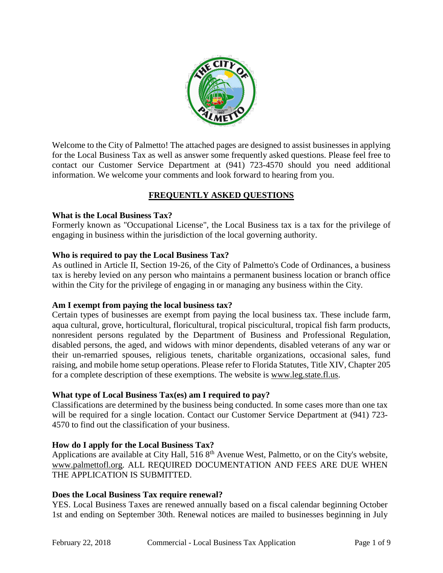

Welcome to the City of Palmetto! The attached pages are designed to assist businesses in applying for the Local Business Tax as well as answer some frequently asked questions. Please feel free to contact our Customer Service Department at (941) 723-4570 should you need additional information. We welcome your comments and look forward to hearing from you.

# **FREQUENTLY ASKED QUESTIONS**

### **What is the Local Business Tax?**

Formerly known as "Occupational License", the Local Business tax is a tax for the privilege of engaging in business within the jurisdiction of the local governing authority.

### **Who is required to pay the Local Business Tax?**

As outlined in Article II, Section 19-26, of the City of Palmetto's Code of Ordinances, a business tax is hereby levied on any person who maintains a permanent business location or branch office within the City for the privilege of engaging in or managing any business within the City.

### **Am I exempt from paying the local business tax?**

Certain types of businesses are exempt from paying the local business tax. These include farm, aqua cultural, grove, horticultural, floricultural, tropical piscicultural, tropical fish farm products, nonresident persons regulated by the Department of Business and Professional Regulation, disabled persons, the aged, and widows with minor dependents, disabled veterans of any war or their un-remarried spouses, religious tenets, charitable organizations, occasional sales, fund raising, and mobile home setup operations. Please refer to Florida Statutes, Title XIV, Chapter 205 for a complete description of these exemptions. The website is [www.leg.state.fl.us.](http://www.leg.state.fl.us/)

## **What type of Local Business Tax(es) am I required to pay?**

Classifications are determined by the business being conducted. In some cases more than one tax will be required for a single location. Contact our Customer Service Department at (941) 723- 4570 to find out the classification of your business.

## **How do I apply for the Local Business Tax?**

Applications are available at City Hall, 516 8<sup>th</sup> Avenue West, Palmetto, or on the City's website, [www.palmettofl.org.](http://www.palmettofl.org/) ALL REQUIRED DOCUMENTATION AND FEES ARE DUE WHEN THE APPLICATION IS SUBMITTED.

### **Does the Local Business Tax require renewal?**

YES. Local Business Taxes are renewed annually based on a fiscal calendar beginning October 1st and ending on September 30th. Renewal notices are mailed to businesses beginning in July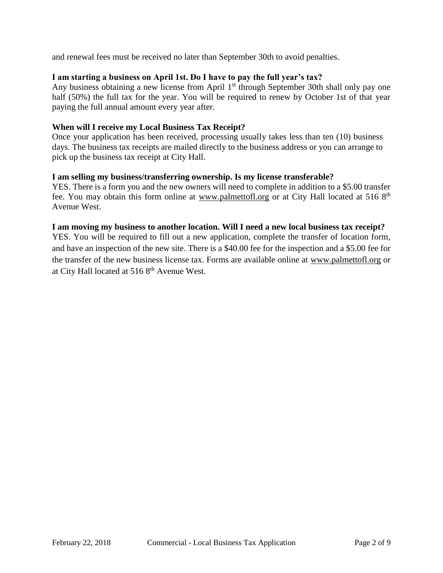and renewal fees must be received no later than September 30th to avoid penalties.

### **I am starting a business on April 1st. Do I have to pay the full year's tax?**

Any business obtaining a new license from April 1<sup>st</sup> through September 30th shall only pay one half (50%) the full tax for the year. You will be required to renew by October 1st of that year paying the full annual amount every year after.

#### **When will I receive my Local Business Tax Receipt?**

Once your application has been received, processing usually takes less than ten (10) business days. The business tax receipts are mailed directly to the business address or you can arrange to pick up the business tax receipt at City Hall.

#### **I am selling my business/transferring ownership. Is my license transferable?**

YES. There is a form you and the new owners will need to complete in addition to a \$5.00 transfer fee. You may obtain this form online at [www.palmettofl.org](http://www.palmettofl.org/) or at City Hall located at 516 8<sup>th</sup> Avenue West.

#### **I am moving my business to another location. Will I need a new local business tax receipt?**

YES. You will be required to fill out a new application, complete the transfer of location form, and have an inspection of the new site. There is a \$40.00 fee for the inspection and a \$5.00 fee for the transfer of the new business license tax. Forms are available online at [www.palmettofl.org](http://www.palmettofl.org/) or at City Hall located at 516 8<sup>th</sup> Avenue West.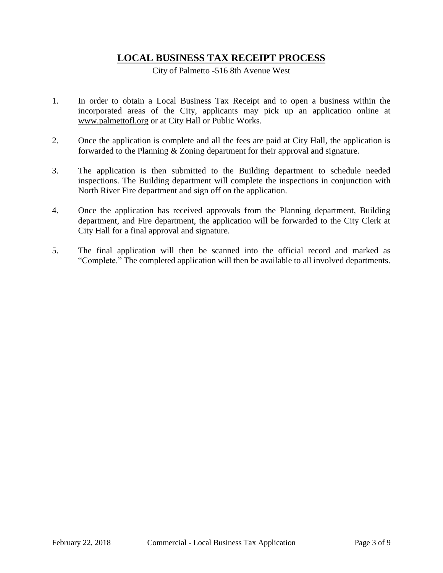# **LOCAL BUSINESS TAX RECEIPT PROCESS**

City of Palmetto -516 8th Avenue West

- 1. In order to obtain a Local Business Tax Receipt and to open a business within the incorporated areas of the City, applicants may pick up an application online at [www.palmettofl.org](http://www.palmettofl.org/) or at City Hall or Public Works.
- 2. Once the application is complete and all the fees are paid at City Hall, the application is forwarded to the Planning & Zoning department for their approval and signature.
- 3. The application is then submitted to the Building department to schedule needed inspections. The Building department will complete the inspections in conjunction with North River Fire department and sign off on the application.
- 4. Once the application has received approvals from the Planning department, Building department, and Fire department, the application will be forwarded to the City Clerk at City Hall for a final approval and signature.
- 5. The final application will then be scanned into the official record and marked as "Complete." The completed application will then be available to all involved departments.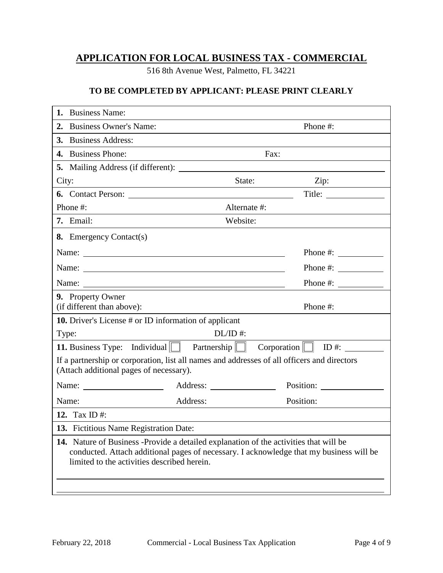# **APPLICATION FOR LOCAL BUSINESS TAX - COMMERCIAL**

516 8th Avenue West, Palmetto, FL 34221

## **TO BE COMPLETED BY APPLICANT: PLEASE PRINT CLEARLY**

| 1.<br><b>Business Name:</b>                                                                                                            |                                                                                         |                          |  |
|----------------------------------------------------------------------------------------------------------------------------------------|-----------------------------------------------------------------------------------------|--------------------------|--|
| 2. Business Owner's Name:                                                                                                              |                                                                                         | Phone #:                 |  |
| 3. Business Address:                                                                                                                   |                                                                                         |                          |  |
| 4. Business Phone:                                                                                                                     | Fax:                                                                                    |                          |  |
|                                                                                                                                        |                                                                                         |                          |  |
| City:<br><u> 1980 - Johann Barn, amerikansk politiker (d. 1980)</u>                                                                    | State:                                                                                  | Zip:                     |  |
|                                                                                                                                        |                                                                                         | Title:                   |  |
| Phone #:                                                                                                                               | Alternate #:                                                                            |                          |  |
| 7. Email:                                                                                                                              | Website:                                                                                |                          |  |
| 8. Emergency Contact(s)                                                                                                                |                                                                                         |                          |  |
|                                                                                                                                        |                                                                                         | Phone $\#$ :             |  |
|                                                                                                                                        |                                                                                         | Phone $\#$ :             |  |
| Name: 2008. 2008. 2010. 2010. 2010. 2010. 2010. 2010. 2010. 2010. 2010. 2010. 2010. 2010. 2010. 2010. 2010. 20                         |                                                                                         | Phone #: $\qquad \qquad$ |  |
| 9. Property Owner                                                                                                                      |                                                                                         |                          |  |
| (if different than above):                                                                                                             |                                                                                         | Phone #:                 |  |
| <b>10.</b> Driver's License # or ID information of applicant                                                                           |                                                                                         |                          |  |
| Type:                                                                                                                                  | $DL/ID$ #:                                                                              |                          |  |
| <b>11.</b> Business Type: Individual $\Box$ Partnership $\Box$ Corporation $\Box$ ID #: $\Box$                                         |                                                                                         |                          |  |
| If a partnership or corporation, list all names and addresses of all officers and directors<br>(Attach additional pages of necessary). |                                                                                         |                          |  |
| Name: $\frac{1}{\sqrt{1-\frac{1}{2}} \cdot \frac{1}{2}}$                                                                               |                                                                                         |                          |  |
| Name:                                                                                                                                  | Address:                                                                                | Position:                |  |
| 12. Tax ID #:                                                                                                                          |                                                                                         |                          |  |
| 13. Fictitious Name Registration Date:                                                                                                 |                                                                                         |                          |  |
| 14. Nature of Business -Provide a detailed explanation of the activities that will be<br>limited to the activities described herein.   | conducted. Attach additional pages of necessary. I acknowledge that my business will be |                          |  |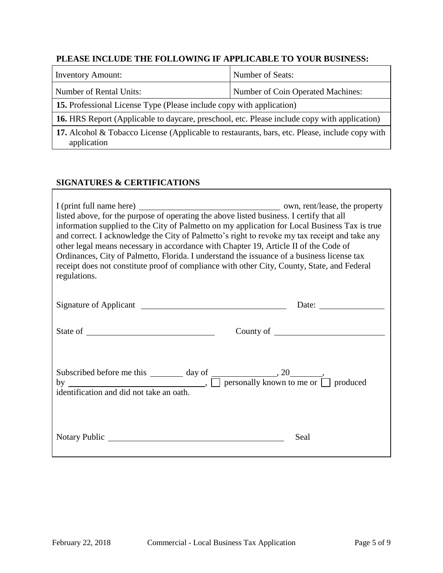## **PLEASE INCLUDE THE FOLLOWING IF APPLICABLE TO YOUR BUSINESS:**

| <b>Inventory Amount:</b>                                                                                      | Number of Seats:                  |  |  |
|---------------------------------------------------------------------------------------------------------------|-----------------------------------|--|--|
| Number of Rental Units:                                                                                       | Number of Coin Operated Machines: |  |  |
| <b>15.</b> Professional License Type (Please include copy with application)                                   |                                   |  |  |
| <b>16.</b> HRS Report (Applicable to daycare, preschool, etc. Please include copy with application)           |                                   |  |  |
| 17. Alcohol & Tobacco License (Applicable to restaurants, bars, etc. Please, include copy with<br>application |                                   |  |  |

### **SIGNATURES & CERTIFICATIONS**

| listed above, for the purpose of operating the above listed business. I certify that all<br>information supplied to the City of Palmetto on my application for Local Business Tax is true<br>and correct. I acknowledge the City of Palmetto's right to revoke my tax receipt and take any<br>other legal means necessary in accordance with Chapter 19, Article II of the Code of<br>Ordinances, City of Palmetto, Florida. I understand the issuance of a business license tax<br>receipt does not constitute proof of compliance with other City, County, State, and Federal<br>regulations. |      |  |  |
|-------------------------------------------------------------------------------------------------------------------------------------------------------------------------------------------------------------------------------------------------------------------------------------------------------------------------------------------------------------------------------------------------------------------------------------------------------------------------------------------------------------------------------------------------------------------------------------------------|------|--|--|
|                                                                                                                                                                                                                                                                                                                                                                                                                                                                                                                                                                                                 |      |  |  |
|                                                                                                                                                                                                                                                                                                                                                                                                                                                                                                                                                                                                 |      |  |  |
| Subscribed before me this $\frac{day \text{ of } , 20}{\Box}$ , personally known to me or $\Box$ produced<br>identification and did not take an oath.                                                                                                                                                                                                                                                                                                                                                                                                                                           |      |  |  |
| Notary Public Notary Public                                                                                                                                                                                                                                                                                                                                                                                                                                                                                                                                                                     | Seal |  |  |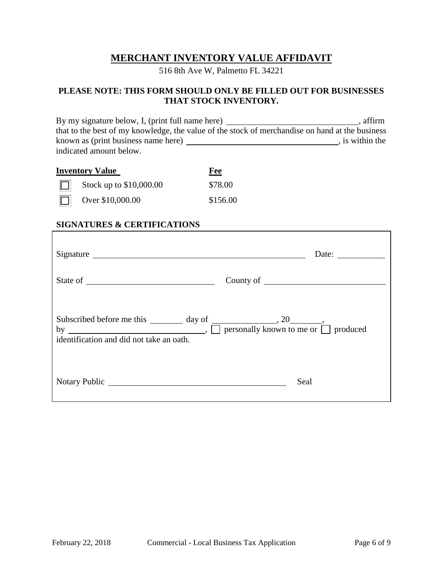# **MERCHANT INVENTORY VALUE AFFIDAVIT**

516 8th Ave W, Palmetto FL 34221

### **PLEASE NOTE: THIS FORM SHOULD ONLY BE FILLED OUT FOR BUSINESSES THAT STOCK INVENTORY.**

By my signature below, I, (print full name here) \_\_\_\_\_\_\_\_\_\_\_\_\_\_\_\_\_\_\_\_\_\_\_\_\_\_\_\_\_\_\_, affirm that to the best of my knowledge, the value of the stock of merchandise on hand at the business known as (print business name here) , is within the indicated amount below.

| <b>Inventory Value</b> |                                | Fee      |
|------------------------|--------------------------------|----------|
|                        | $\Box$ Stock up to \$10,000.00 | \$78.00  |
|                        | Over \$10,000.00               | \$156.00 |

### **SIGNATURES & CERTIFICATIONS**

| Signature <u>superior and the set of the set of the set of the set of the set of the set of the set of the set of the set of the set of the set of the set of the set of the set of the set of the set of the set of the set of </u> | Date:     |
|--------------------------------------------------------------------------------------------------------------------------------------------------------------------------------------------------------------------------------------|-----------|
|                                                                                                                                                                                                                                      | County of |
| Subscribed before me this $\frac{day \text{ of}}{my}$ and $\frac{dy}{dy}$ mersonally known to me or $\Box$ produced<br>identification and did not take an oath.                                                                      |           |
| Notary Public                                                                                                                                                                                                                        | Seal      |

٦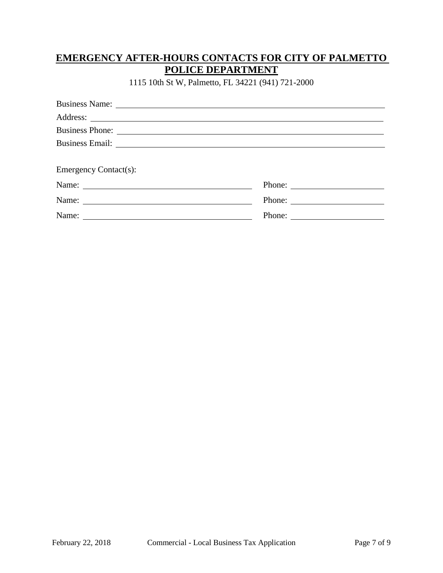# **EMERGENCY AFTER-HOURS CONTACTS FOR CITY OF PALMETTO POLICE DEPARTMENT**

1115 10th St W, Palmetto, FL 34221 (941) 721-2000

| Business Name: Name and Solid Research Contract Contract of the Solid Research Contract Contract Contract Contract Contract Contract Contract Contract Contract Contract Contract Contract Contract Contract Contract Contract       |  |
|--------------------------------------------------------------------------------------------------------------------------------------------------------------------------------------------------------------------------------------|--|
|                                                                                                                                                                                                                                      |  |
| Business Phone:                                                                                                                                                                                                                      |  |
| Business Email: <u>and a series of the series of the series of the series of the series of the series of the series of the series of the series of the series of the series of the series of the series of the series of the ser</u> |  |
|                                                                                                                                                                                                                                      |  |
| <b>Emergency Contact(s):</b>                                                                                                                                                                                                         |  |
|                                                                                                                                                                                                                                      |  |
|                                                                                                                                                                                                                                      |  |
| Name: Name                                                                                                                                                                                                                           |  |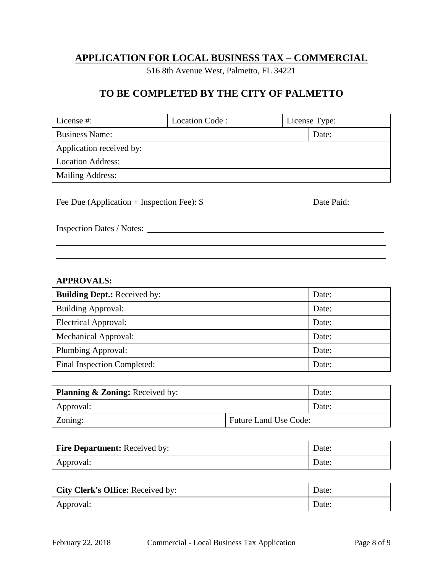# **APPLICATION FOR LOCAL BUSINESS TAX – COMMERCIAL**

516 8th Avenue West, Palmetto, FL 34221

# **TO BE COMPLETED BY THE CITY OF PALMETTO**

| License #:                                  | Location Code: |            | License Type: |
|---------------------------------------------|----------------|------------|---------------|
| <b>Business Name:</b>                       |                |            | Date:         |
| Application received by:                    |                |            |               |
| <b>Location Address:</b>                    |                |            |               |
| <b>Mailing Address:</b>                     |                |            |               |
|                                             |                |            |               |
| Fee Due (Application + Inspection Fee): $\$ |                | Date Paid: |               |
|                                             |                |            |               |
| Inspection Dates / Notes:                   |                |            |               |
|                                             |                |            |               |

### **APPROVALS:**

| <b>Building Dept.:</b> Received by: | Date: |
|-------------------------------------|-------|
| <b>Building Approval:</b>           | Date: |
| <b>Electrical Approval:</b>         | Date: |
| <b>Mechanical Approval:</b>         | Date: |
| Plumbing Approval:                  | Date: |
| Final Inspection Completed:         | Date: |

| <b>Planning &amp; Zoning:</b> Received by: |                              | Date: |
|--------------------------------------------|------------------------------|-------|
| Approval:                                  |                              | Date: |
| Zoning:                                    | <b>Future Land Use Code:</b> |       |

| <b>Fire Department:</b> Received by: | Date: |
|--------------------------------------|-------|
| Approval:                            | Date: |

| <b>City Clerk's Office: Received by:</b> | Date: |
|------------------------------------------|-------|
| Approval:                                | Date: |